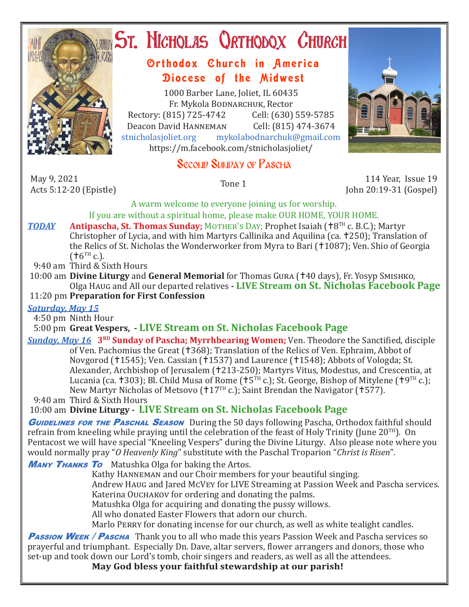

# ST. NICHOLAS QRTHODOX CHURCH

# Orthodox Church in America Diocese of the Midwest

1000 Barber Lane, Joliet, IL 60435 Fr. Mykola Bodnarchuk, Rector<br>315) 725-4742 Cell: (630) 559-5785 Rectory: (815) 725-4742 Cell: (630) 559-5785<br>Deacon David HANNEMAN Cell: (815) 474-3674 Deacon David HANNEMAN<br>stnicholasioliet.org mvk mykolabodnarchuk@gmail.com https://m.facebook.com/stnicholasjoliet/

# Second Sunday of Pascha

May 9, 2021<br>Acts 5:12-20 (Epistle)

May 9, 2021<br>Tone 1 114 Year, Issue 19<br>John 20:19-31 (Gospel) 30:17-20 (Epistle) John 20:19-31 (Gospel)

> A warm welcome to everyone joining us for worship. If you are without a spiritual home, please make OUR HOME, YOUR HOME.

*TODAY* Antipascha, St. Thomas Sunday; MOTHER'S DAY; Prophet Isaiah (†8<sup>TH</sup> c. B.C.); Martyr Christopher of Lycia, and with him Martyrs Callinika and Aquilina (ca. †250); Translation of the Relics of St. Nicholas the Wonderworker from Myra to Bari (†1087); Ven. Shio of Georgia  $(†6<sup>TH</sup> c.).$ 

9:40 am Third & Sixth Hours

 10:00 am **Divine Liturgy** and **General Memorial** for Thomas Gura (40 days), Fr. Yosyp Smishko, Olga Haug and All our departed relatives **- LIVE Stream on St. Nicholas Facebook Page**

## 11:20 pm **Preparation for First Confession**

### *Saturday, May 15*

4:50 pm Ninth Hour

# 5:00 pm **Great Vespers, - LIVE Stream on St. Nicholas Facebook Page**

*Sunday, May 16* **3<sup>RD</sup> Sunday of Pascha; Myrrhbearing Women;** Ven. Theodore the Sanctified, disciple of Ven. Pachomius the Great (†368); Translation of the Relics of Ven. Ephraim, Abbot of Novgorod (†1545); Ven. Cassian (†1537) and Laurence (†1548); Abbots of Vologda; St. Alexander, Archbishop of Jerusalem (†213-250); Martyrs Vitus, Modestus, and Crescentia, at Lucania (ca. †303); Bl. Child Musa of Rome († $5<sup>TH</sup>$  c.); St. George, Bishop of Mitylene († $9<sup>TH</sup>$  c.); New Martyr Nicholas of Metsovo (†17<sup>TH</sup> c.); Saint Brendan the Navigator (†577).

9:40 am Third & Sixth Hours

10:00 am **Divine Liturgy - LIVE Stream on St. Nicholas Facebook Page**

**GUIDELINES FOR THE PASCHAL SEASON** During the 50 days following Pascha, Orthodox faithful should refrain from kneeling while praying until the celebration of the feast of Holy Trinity (June  $20^{TH}$ ). On Pentacost we will have special "Kneeling Vespers" during the Divine Liturgy. Also please note where you would normally pray "*O Heavenly King*" substitute with the Paschal Troparion "*Christ is Risen*".

**MANY THANKS TO** Matushka Olga for baking the Artos.

 Kathy Hanneman and our Choir members for your beautiful singing. Andrew Haug and Jared McVey for LIVE Streaming at Passion Week and Pascha services. Katerina Ouchakov for ordering and donating the palms. Matushka Olga for acquiring and donating the pussy willows. All who donated Easter Flowers that adorn our church. Marlo Perry for donating incense for our church, as well as white tealight candles.

**Passion WEEK / Pascha** Thank you to all who made this years Passion Week and Pascha services so prayerful and triumphant. Especially Dn. Dave, altar servers, flower arrangers and donors, those who set-up and took down our Lord's tomb, choir singers and readers, as well as all the attendees.

 **May God bless your faithful stewardship at our parish!**